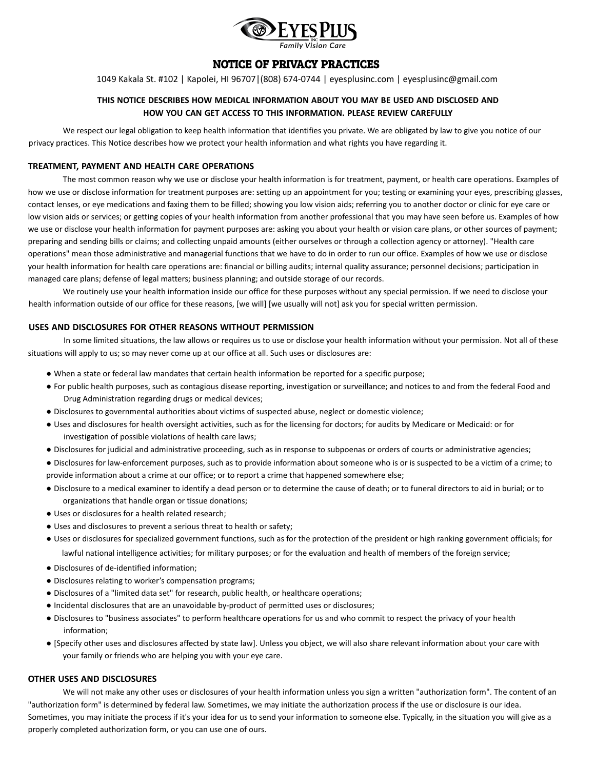

# NOTICE OF PRIVACY PRACTICES

1049 Kakala St. #102 | Kapolei, HI 96707|(808) 674-0744 | eyesplusinc.com | eyesplusinc@gmail.com

## **THIS NOTICE DESCRIBES HOW MEDICAL INFORMATION ABOUT YOU MAY BE USED AND DISCLOSED AND HOW YOU CAN GET ACCESS TO THIS INFORMATION. PLEASE REVIEW CAREFULLY**

We respect our legal obligation to keep health information that identifies you private. We are obligated by law to give you notice of our privacy practices. This Notice describes how we protect your health information and what rights you have regarding it.

### **TREATMENT, PAYMENT AND HEALTH CARE OPERATIONS**

The most common reason why we use or disclose your health information is for treatment, payment, or health care operations. Examples of how we use or disclose information for treatment purposes are: setting up an appointment for you; testing or examining your eyes, prescribing glasses, contact lenses, or eye medications and faxing them to be filled; showing you low vision aids; referring you to another doctor or clinic for eye care or low vision aids or services; or getting copies of your health information from another professional that you may have seen before us. Examples of how we use or disclose your health information for payment purposes are: asking you about your health or vision care plans, or other sources of payment; preparing and sending bills or claims; and collecting unpaid amounts (either ourselves or through a collection agency or attorney). "Health care operations" mean those administrative and managerial functions that we have to do in order to run our office. Examples of how we use or disclose your health information for health care operations are: financial or billing audits; internal quality assurance; personnel decisions; participation in managed care plans; defense of legal matters; business planning; and outside storage of our records.

We routinely use your health information inside our office for these purposes without any special permission. If we need to disclose your health information outside of our office for these reasons, [we will] [we usually will not] ask you for special written permission.

#### **USES AND DISCLOSURES FOR OTHER REASONS WITHOUT PERMISSION**

In some limited situations, the law allows or requires us to use or disclose your health information without your permission. Not all of these situations will apply to us; so may never come up at our office at all. Such uses or disclosures are:

- When a state or federal law mandates that certain health information be reported for a specific purpose;
- For public health purposes, such as contagious disease reporting, investigation or surveillance; and notices to and from the federal Food and Drug Administration regarding drugs or medical devices;
- Disclosures to governmental authorities about victims of suspected abuse, neglect or domestic violence;
- Uses and disclosures for health oversight activities, such as for the licensing for doctors; for audits by Medicare or Medicaid: or for investigation of possible violations of health care laws;
- Disclosures for judicial and administrative proceeding, such as in response to subpoenas or orders of courts or administrative agencies;
- Disclosures for law-enforcement purposes, such as to provide information about someone who is or is suspected to be a victim of a crime; to provide information about a crime at our office; or to report a crime that happened somewhere else;
- Disclosure to a medical examiner to identify a dead person or to determine the cause of death; or to funeral directors to aid in burial; or to organizations that handle organ or tissue donations;
- Uses or disclosures for a health related research;
- Uses and disclosures to prevent a serious threat to health or safety;
- Uses or disclosures for specialized government functions, such as for the protection of the president or high ranking government officials; for lawful national intelligence activities; for military purposes; or for the evaluation and health of members of the foreign service;
- Disclosures of de-identified information;
- Disclosures relating to worker's compensation programs;
- Disclosures of a "limited data set" for research, public health, or healthcare operations;
- Incidental disclosures that are an unavoidable by-product of permitted uses or disclosures;
- Disclosures to "business associates" to perform healthcare operations for us and who commit to respect the privacy of your health information;
- [Specify other uses and disclosures affected by state law]. Unless you object, we will also share relevant information about your care with your family or friends who are helping you with your eye care.

#### **OTHER USES AND DISCLOSURES**

We will not make any other uses or disclosures of your health information unless you sign a written "authorization form". The content of an "authorization form" is determined by federal law. Sometimes, we may initiate the authorization process if the use or disclosure is our idea. Sometimes, you may initiate the process if it's your idea for us to send your information to someone else. Typically, in the situation you will give as a properly completed authorization form, or you can use one of ours.